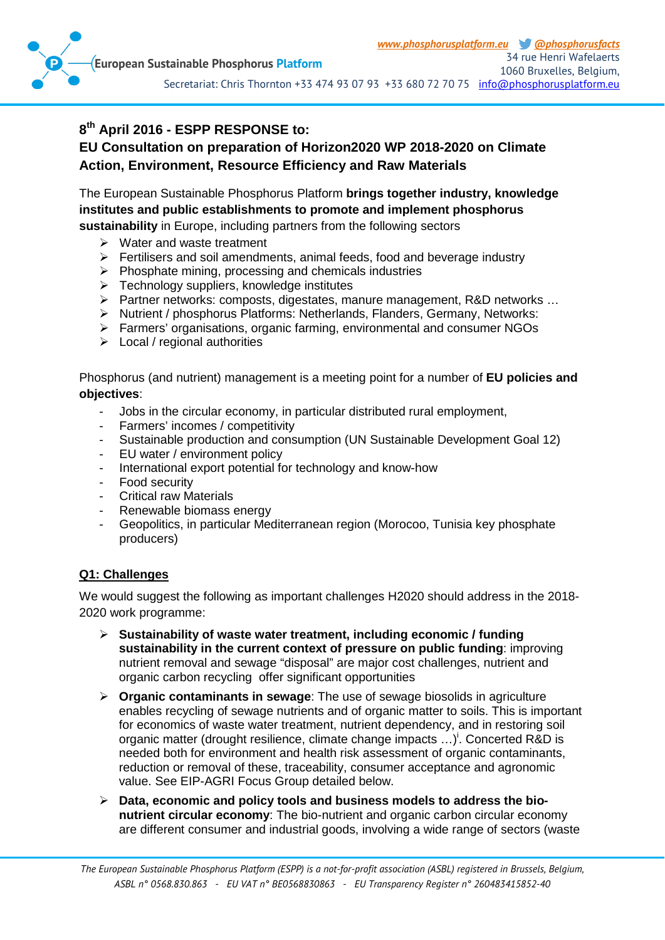

# **8th April 2016 - ESPP RESPONSE to:**

## **EU Consultation on preparation of Horizon2020 WP 2018-2020 on Climate Action, Environment, Resource Efficiency and Raw Materials**

The European Sustainable Phosphorus Platform **brings together industry, knowledge institutes and public establishments to promote and implement phosphorus sustainability** in Europe, including partners from the following sectors

- $\triangleright$  Water and waste treatment
- $\triangleright$  Fertilisers and soil amendments, animal feeds, food and beverage industry
- $\triangleright$  Phosphate mining, processing and chemicals industries
- $\triangleright$  Technology suppliers, knowledge institutes
- Partner networks: composts, digestates, manure management, R&D networks …
- > Nutrient / phosphorus Platforms: Netherlands, Flanders, Germany, Networks:
- Farmers' organisations, organic farming, environmental and consumer NGOs
- $\triangleright$  Local / regional authorities

Phosphorus (and nutrient) management is a meeting point for a number of **EU policies and objectives**:

- Jobs in the circular economy, in particular distributed rural employment,
- Farmers' incomes / competitivity
- Sustainable production and consumption (UN Sustainable Development Goal 12)
- EU water / environment policy
- International export potential for technology and know-how
- Food security
- Critical raw Materials
- Renewable biomass energy
- Geopolitics, in particular Mediterranean region (Morocoo, Tunisia key phosphate producers)

### **Q1: Challenges**

We would suggest the following as important challenges H2020 should address in the 2018- 2020 work programme:

- **Sustainability of waste water treatment, including economic / funding sustainability in the current context of pressure on public funding**: improving nutrient removal and sewage "disposal" are major cost challenges, nutrient and organic carbon recycling offer significant opportunities
- **Organic contaminants in sewage**: The use of sewage biosolids in agriculture enables recycling of sewage nutrients and of organic matter to soils. This is important for economics of waste water treatment, nutrient dependency, and in restoring soil organic matter (drought resilience, climate change impacts ...)<sup>'</sup>. Concerted R&D is needed both for environment and health risk assessment of organic contaminants, reduction or removal of these, traceability, consumer acceptance and agronomic value. See EIP-AGRI Focus Group detailed below.
- **Data, economic and policy tools and business models to address the bionutrient circular economy**: The bio-nutrient and organic carbon circular economy are different consumer and industrial goods, involving a wide range of sectors (waste

*The European Sustainable Phosphorus Platform (ESPP) is a not-for-profit association (ASBL) registered in Brussels, Belgium, ASBL n° 0568.830.863 - EU VAT n° BE0568830863 - EU Transparency Register n° 260483415852-40*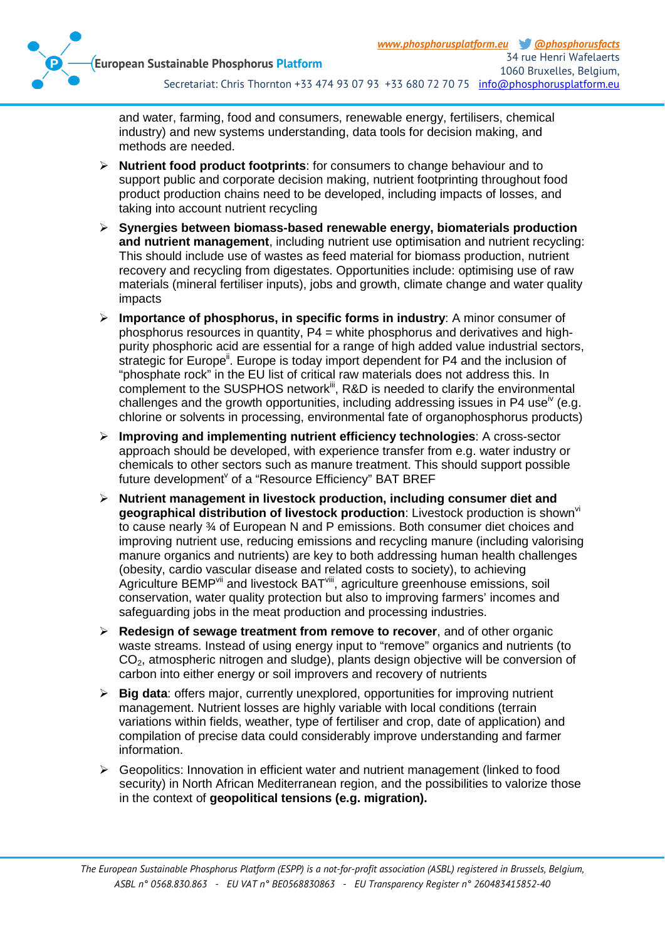

and water, farming, food and consumers, renewable energy, fertilisers, chemical industry) and new systems understanding, data tools for decision making, and methods are needed.

- **Nutrient food product footprints**: for consumers to change behaviour and to support public and corporate decision making, nutrient footprinting throughout food product production chains need to be developed, including impacts of losses, and taking into account nutrient recycling
- **Synergies between biomass-based renewable energy, biomaterials production and nutrient management**, including nutrient use optimisation and nutrient recycling: This should include use of wastes as feed material for biomass production, nutrient recovery and recycling from digestates. Opportunities include: optimising use of raw materials (mineral fertiliser inputs), jobs and growth, climate change and water quality impacts
- **Importance of phosphorus, in specific forms in industry**: A minor consumer of phosphorus resources in quantity,  $P4 =$  white phosphorus and derivatives and highpurity phosphoric acid are essential for a range of high added value industrial sectors, strategic for Europe<sup>ii</sup>. Europe is today import dependent for P4 and the inclusion of "phosphate rock" in the EU list of critical raw materials does not address this. In complement to the SUSPHOS network<sup>iit</sup>, R&D is needed to clarify the environmental challenges and the growth opportunities, including addressing issues in P4 use<sup>iv</sup> (e.g. chlorine or solvents in processing, environmental fate of organophosphorus products)
- **Improving and implementing nutrient efficiency technologies**: A cross-sector approach should be developed, with experience transfer from e.g. water industry or chemicals to other sectors such as manure treatment. This should support possible future development<sup>y</sup> of a "Resource Efficiency" BAT BREF
- **Nutrient management in livestock production, including consumer diet and**  geographical distribution of livestock production: Livestock production is shown<sup>vi</sup> to cause nearly ¾ of European N and P emissions. Both consumer diet choices and improving nutrient use, reducing emissions and recycling manure (including valorising manure organics and nutrients) are key to both addressing human health challenges (obesity, cardio vascular disease and related costs to society), to achieving Agriculture BEMP<sup>vii</sup> and livestock BAT<sup>viii</sup>, agriculture greenhouse emissions, soil conservation, water quality protection but also to improving farmers' incomes and safeguarding jobs in the meat production and processing industries.
- **Redesign of sewage treatment from remove to recover**, and of other organic waste streams. Instead of using energy input to "remove" organics and nutrients (to CO2, atmospheric nitrogen and sludge), plants design objective will be conversion of carbon into either energy or soil improvers and recovery of nutrients
- **Big data**: offers major, currently unexplored, opportunities for improving nutrient management. Nutrient losses are highly variable with local conditions (terrain variations within fields, weather, type of fertiliser and crop, date of application) and compilation of precise data could considerably improve understanding and farmer information.
- Geopolitics: Innovation in efficient water and nutrient management (linked to food security) in North African Mediterranean region, and the possibilities to valorize those in the context of **geopolitical tensions (e.g. migration).**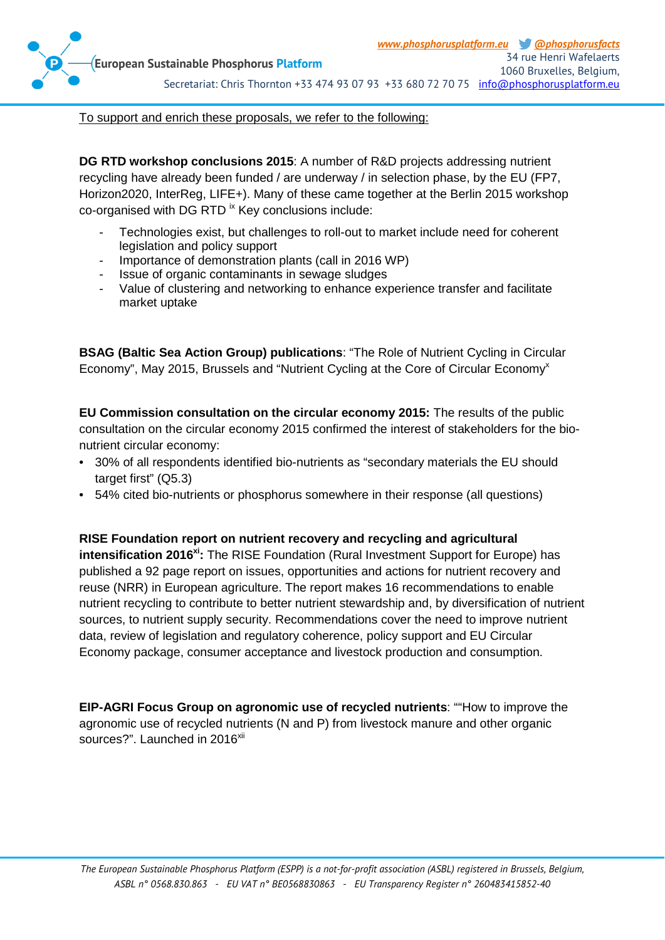

To support and enrich these proposals, we refer to the following:

**DG RTD workshop conclusions 2015**: A number of R&D projects addressing nutrient recycling have already been funded / are underway / in selection phase, by the EU (FP7, Horizon2020, InterReg, LIFE+). Many of these came together at the Berlin 2015 workshop  $co$ -organised with DG RTD  $\mathrm{K}$  Key conclusions include:

- Technologies exist, but challenges to roll-out to market include need for coherent legislation and policy support
- Importance of demonstration plants (call in 2016 WP)
- Issue of organic contaminants in sewage sludges
- Value of clustering and networking to enhance experience transfer and facilitate market uptake

**BSAG (Baltic Sea Action Group) publications**: "The Role of Nutrient Cycling in Circular Economy", May 2015, Brussels and "Nutrient Cycling at the Core of Circular Economy<sup>x</sup>

**EU Commission consultation on the circular economy 2015:** The results of the public consultation on the circular economy 2015 confirmed the interest of stakeholders for the bionutrient circular economy:

- 30% of all respondents identified bio-nutrients as "secondary materials the EU should target first" (Q5.3)
- 54% cited bio-nutrients or phosphorus somewhere in their response (all questions)

**RISE Foundation report on nutrient recovery and recycling and agricultural** 

**intensification 2016<sup>xi</sup>:** The RISE Foundation (Rural Investment Support for Europe) has published a 92 page report on issues, opportunities and actions for nutrient recovery and reuse (NRR) in European agriculture. The report makes 16 recommendations to enable nutrient recycling to contribute to better nutrient stewardship and, by diversification of nutrient sources, to nutrient supply security. Recommendations cover the need to improve nutrient data, review of legislation and regulatory coherence, policy support and EU Circular Economy package, consumer acceptance and livestock production and consumption.

**EIP-AGRI Focus Group on agronomic use of recycled nutrients**: ""How to improve the agronomic use of recycled nutrients (N and P) from livestock manure and other organic sources?". Launched in 2016<sup>xii</sup>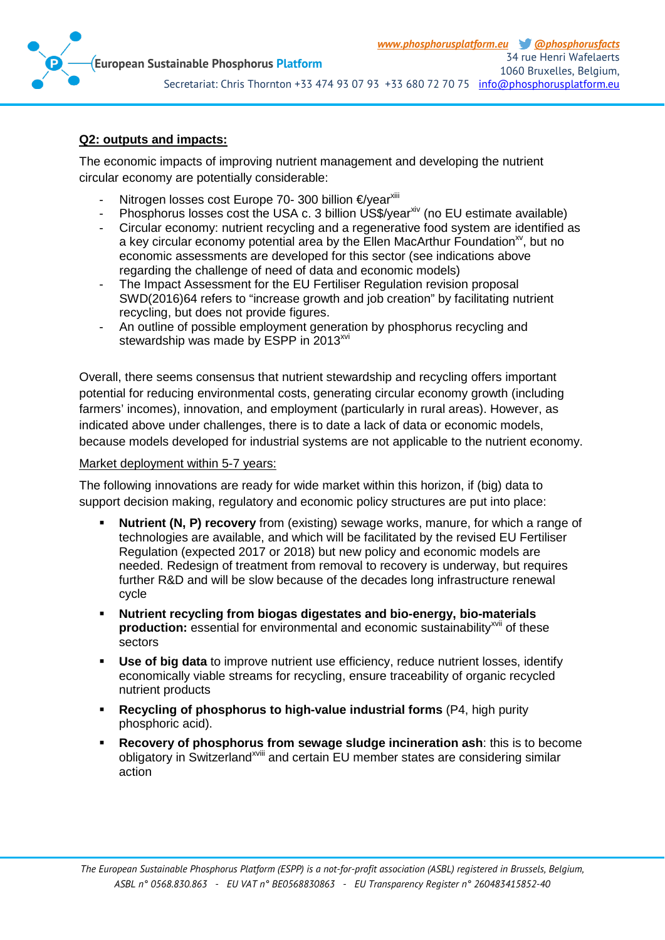

#### **Q2: outputs and impacts:**

The economic impacts of improving nutrient management and developing the nutrient circular economy are potentially considerable:

- Nitrogen losses cost Europe 70- 300 billion €/year<sup>xiii</sup>
- Phosphorus losses cost the USA c. 3 billion US\$/year<sup>xiv</sup> (no EU estimate available)
- Circular economy: nutrient recycling and a regenerative food system are identified as a key circular economy potential area by the Ellen MacArthur Foundation<sup> $x$ </sup>, but no economic assessments are developed for this sector (see indications above regarding the challenge of need of data and economic models)
- The Impact Assessment for the EU Fertiliser Regulation revision proposal SWD(2016)64 refers to "increase growth and job creation" by facilitating nutrient recycling, but does not provide figures.
- An outline of possible employment generation by phosphorus recycling and stewardship was made by ESPP in 2013<sup>xvi</sup>

Overall, there seems consensus that nutrient stewardship and recycling offers important potential for reducing environmental costs, generating circular economy growth (including farmers' incomes), innovation, and employment (particularly in rural areas). However, as indicated above under challenges, there is to date a lack of data or economic models, because models developed for industrial systems are not applicable to the nutrient economy.

#### Market deployment within 5-7 years:

The following innovations are ready for wide market within this horizon, if (big) data to support decision making, regulatory and economic policy structures are put into place:

- **Nutrient (N, P) recovery** from (existing) sewage works, manure, for which a range of technologies are available, and which will be facilitated by the revised EU Fertiliser Regulation (expected 2017 or 2018) but new policy and economic models are needed. Redesign of treatment from removal to recovery is underway, but requires further R&D and will be slow because of the decades long infrastructure renewal cycle
- **Nutrient recycling from biogas digestates and bio-energy, bio-materials production:** essential for environmental and economic sustainability<sup>xvii</sup> of these sectors
- **Use of big data** to improve nutrient use efficiency, reduce nutrient losses, identify economically viable streams for recycling, ensure traceability of organic recycled nutrient products
- **Recycling of phosphorus to high-value industrial forms** (P4, high purity phosphoric acid).
- **Recovery of phosphorus from sewage sludge incineration ash**: this is to become obligatory in Switzerland<sup>xviii</sup> and certain EU member states are considering similar action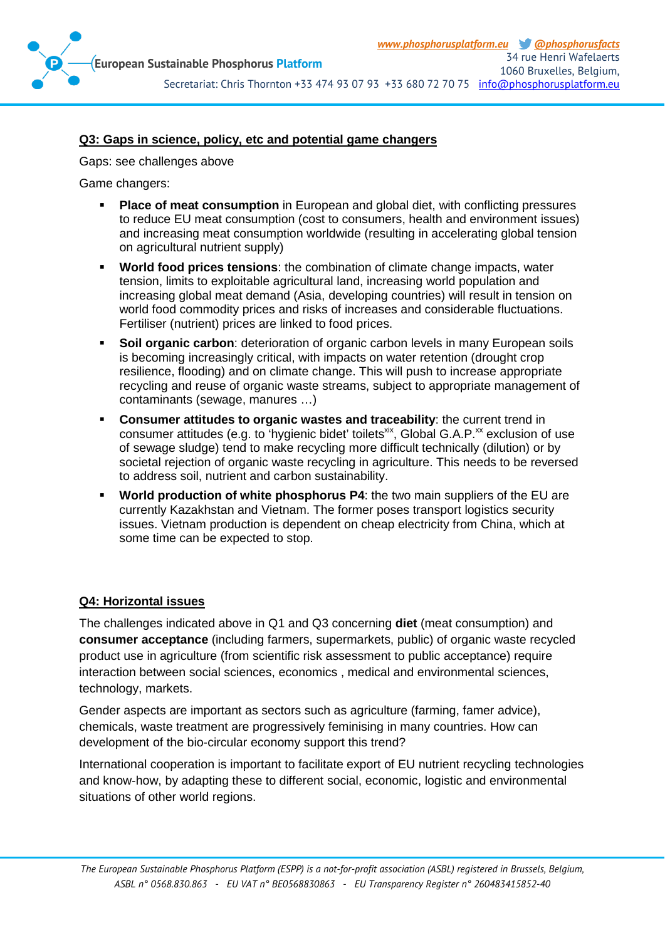

#### **Q3: Gaps in science, policy, etc and potential game changers**

Gaps: see challenges above

Game changers:

- **Place of meat consumption** in European and global diet, with conflicting pressures to reduce EU meat consumption (cost to consumers, health and environment issues) and increasing meat consumption worldwide (resulting in accelerating global tension on agricultural nutrient supply)
- **World food prices tensions**: the combination of climate change impacts, water tension, limits to exploitable agricultural land, increasing world population and increasing global meat demand (Asia, developing countries) will result in tension on world food commodity prices and risks of increases and considerable fluctuations. Fertiliser (nutrient) prices are linked to food prices.
- **Soil organic carbon**: deterioration of organic carbon levels in many European soils is becoming increasingly critical, with impacts on water retention (drought crop resilience, flooding) and on climate change. This will push to increase appropriate recycling and reuse of organic waste streams, subject to appropriate management of contaminants (sewage, manures …)
- **Consumer attitudes to organic wastes and traceability**: the current trend in consumer attitudes (e.g. to 'hygienic bidet' toilets<sup>xix</sup>, Global G.A.P.<sup>xx</sup> exclusion of use of sewage sludge) tend to make recycling more difficult technically (dilution) or by societal rejection of organic waste recycling in agriculture. This needs to be reversed to address soil, nutrient and carbon sustainability.
- **World production of white phosphorus P4**: the two main suppliers of the EU are currently Kazakhstan and Vietnam. The former poses transport logistics security issues. Vietnam production is dependent on cheap electricity from China, which at some time can be expected to stop.

#### **Q4: Horizontal issues**

The challenges indicated above in Q1 and Q3 concerning **diet** (meat consumption) and **consumer acceptance** (including farmers, supermarkets, public) of organic waste recycled product use in agriculture (from scientific risk assessment to public acceptance) require interaction between social sciences, economics , medical and environmental sciences, technology, markets.

Gender aspects are important as sectors such as agriculture (farming, famer advice), chemicals, waste treatment are progressively feminising in many countries. How can development of the bio-circular economy support this trend?

International cooperation is important to facilitate export of EU nutrient recycling technologies and know-how, by adapting these to different social, economic, logistic and environmental situations of other world regions.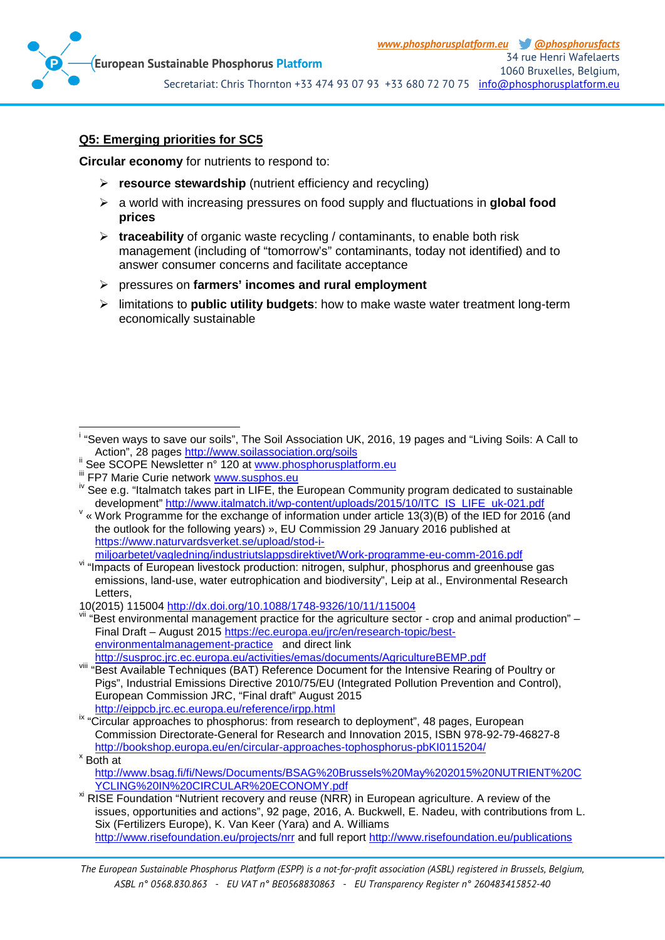

#### **Q5: Emerging priorities for SC5**

**Circular economy** for nutrients to respond to:

- **Figure 2 resource stewardship** (nutrient efficiency and recycling)
- a world with increasing pressures on food supply and fluctuations in **global food prices**
- **traceability** of organic waste recycling / contaminants, to enable both risk management (including of "tomorrow's" contaminants, today not identified) and to answer consumer concerns and facilitate acceptance
- pressures on **farmers' incomes and rural employment**
- limitations to **public utility budgets**: how to make waste water treatment long-term economically sustainable

- 
- 

<sup>.&</sup>lt;br>i <sup>i</sup> "Seven ways to save our soils", The Soil Association UK, 2016, 19 pages and "Living Soils: A Call to Action", 28 pages http://www.soilassociation.org/soils

See SCOPE Newsletter n° 120 at [www.phosphorusplatform.eu](http://www.phosphorusplatform.eu/)<br>
If FP7 Marie Curie network [www.susphos.eu](http://www.susphos.eu/)<br>
if FP7 Marie Curie network www.susphos.eu<br>
iv See e.g. "Italmatch takes part in LIFE, the European Community program dedi

 $\vee$  « Work Programme for the exchange of information under article 13(3)(B) of the IED for 2016 (and the outlook for the following years) », EU Commission 29 January 2016 published at https://www.naturvardsverket.se/upload/stod-i-<br>miljoarbetet/vagledning/industriutslappsdirektivet/Work-programme-eu-comm-2016.pdf

vi "Impacts of European livestock production: nitrogen, sulphur, phosphorus and greenhouse gas emissions, land-use, water eutrophication and biodiversity", Leip at al., Environmental Research **Letters** 

<sup>10(2015) 115004</sup><http://dx.doi.org/10.1088/1748-9326/10/11/115004>

vii "Best environmental management practice for the agriculture sector - crop and animal production" – Final Draft – August 2015 [https://ec.europa.eu/jrc/en/research-topic/best](https://ec.europa.eu/jrc/en/research-topic/best-environmentalmanagement-practice)[environmentalmanagement-practice](https://ec.europa.eu/jrc/en/research-topic/best-environmentalmanagement-practice) and direct link<br>http://susproc.jrc.ec.europa.eu/activities/emas/documents/AgricultureBEMP.pdf

Hetter activities and the metal control activities with the entensive Rearing of Poultry or Pigs", Industrial Emissions Directive 2010/75/EU (Integrated Pollution Prevention and Control), European Commission JRC, "Final draft" August 2015<br>http://eippcb.irc.ec.europa.eu/reference/irpp.html

ix "Circular approaches to phosphorus: from research to deployment", 48 pages, European Commission Directorate-General for Research and Innovation 2015, ISBN 978-92-79-46827-8 <http://bookshop.europa.eu/en/circular-approaches-tophosphorus-pbKI0115204/><br>
<sup>x</sup> Both at

[http://www.bsag.fi/fi/News/Documents/BSAG%20Brussels%20May%202015%20NUTRIENT%20C](http://www.bsag.fi/fi/News/Documents/BSAG%20Brussels%20May%202015%20NUTRIENT%20CYCLING%20IN%20CIRCULAR%20ECONOMY.pdf)<br>YCLING%20IN%20CIRCULAR%20ECONOMY.pdf

<sup>&</sup>lt;sup>xi</sup> RISE Foundation "Nutrient recovery and reuse (NRR) in European agriculture. A review of the issues, opportunities and actions", 92 page, 2016, A. Buckwell, E. Nadeu, with contributions from L. Six (Fertilizers Europe), K. Van Keer (Yara) and A. Williams <http://www.risefoundation.eu/projects/nrr> and full report<http://www.risefoundation.eu/publications>

*The European Sustainable Phosphorus Platform (ESPP) is a not-for-profit association (ASBL) registered in Brussels, Belgium, ASBL n° 0568.830.863 - EU VAT n° BE0568830863 - EU Transparency Register n° 260483415852-40*